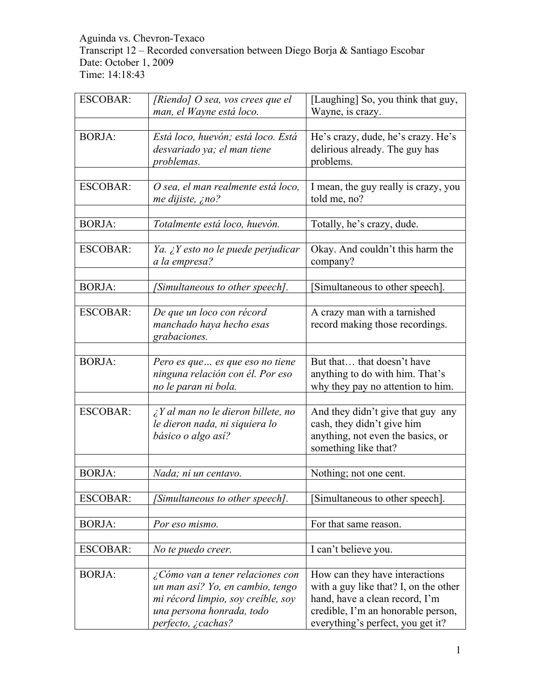Aguinda vs. Chevron-Texaco Transcript 12 – Recorded conversation between Diego Borja & Santiago Escobar Date: October 1, 2009 Time: 14:18:43

| <b>ESCOBAR:</b> | [Riendo] $O$ sea, vos crees que el<br>man, el Wayne está loco.                                                                                                       | [Laughing] So, you think that guy,<br>Wayne, is crazy.                                                                                                                               |
|-----------------|----------------------------------------------------------------------------------------------------------------------------------------------------------------------|--------------------------------------------------------------------------------------------------------------------------------------------------------------------------------------|
|                 |                                                                                                                                                                      |                                                                                                                                                                                      |
| <b>BORJA:</b>   | Está loco, huevón; está loco. Está<br>desvariado ya; el man tiene<br>problemas.                                                                                      | He's crazy, dude, he's crazy. He's<br>delirious already. The guy has<br>problems.                                                                                                    |
|                 |                                                                                                                                                                      |                                                                                                                                                                                      |
| <b>ESCOBAR:</b> | O sea, el man realmente está loco,<br>me dijiste, ¿no?                                                                                                               | I mean, the guy really is crazy, you<br>told me, no?                                                                                                                                 |
|                 |                                                                                                                                                                      |                                                                                                                                                                                      |
| <b>BORJA:</b>   | Totalmente está loco, huevón.                                                                                                                                        | Totally, he's crazy, dude.                                                                                                                                                           |
|                 |                                                                                                                                                                      |                                                                                                                                                                                      |
| <b>ESCOBAR:</b> | Ya. ¿Y esto no le puede perjudicar<br>a la empresa?                                                                                                                  | Okay. And couldn't this harm the<br>company?                                                                                                                                         |
|                 |                                                                                                                                                                      |                                                                                                                                                                                      |
| <b>BORJA:</b>   | [Simultaneous to other speech].                                                                                                                                      | Simultaneous to other speech].                                                                                                                                                       |
|                 |                                                                                                                                                                      |                                                                                                                                                                                      |
| <b>ESCOBAR:</b> | De que un loco con récord                                                                                                                                            | A crazy man with a tarnished                                                                                                                                                         |
|                 | manchado haya hecho esas<br>grabaciones.                                                                                                                             | record making those recordings.                                                                                                                                                      |
|                 |                                                                                                                                                                      |                                                                                                                                                                                      |
| <b>BORJA:</b>   | Pero es que  es que eso no tiene<br>ninguna relación con él. Por eso                                                                                                 | But that that doesn't have<br>anything to do with him. That's                                                                                                                        |
|                 | no le paran ni bola.                                                                                                                                                 | why they pay no attention to him.                                                                                                                                                    |
| <b>ESCOBAR:</b> | $\lambda$ Y al man no le dieron billete, no<br>le dieron nada, ni siquiera lo<br>básico o algo así?                                                                  | And they didn't give that guy any<br>cash, they didn't give him<br>anything, not even the basics, or<br>something like that?                                                         |
|                 |                                                                                                                                                                      |                                                                                                                                                                                      |
| <b>BORJA:</b>   | Nada; ni un centavo.                                                                                                                                                 | Nothing; not one cent.                                                                                                                                                               |
|                 |                                                                                                                                                                      |                                                                                                                                                                                      |
| <b>ESCOBAR:</b> | [Simultaneous to other speech].                                                                                                                                      | Simultaneous to other speech].                                                                                                                                                       |
| <b>BORJA:</b>   | Por eso mismo.                                                                                                                                                       | For that same reason.                                                                                                                                                                |
|                 |                                                                                                                                                                      |                                                                                                                                                                                      |
| <b>ESCOBAR:</b> | No te puedo creer.                                                                                                                                                   | I can't believe you.                                                                                                                                                                 |
|                 |                                                                                                                                                                      |                                                                                                                                                                                      |
| <b>BORJA:</b>   | $\zeta$ Cómo van a tener relaciones con<br>un man así? Yo, en cambio, tengo<br>mi récord limpio, soy creíble, soy<br>una persona honrada, todo<br>perfecto, ¿cachas? | How can they have interactions<br>with a guy like that? I, on the other<br>hand, have a clean record, I'm<br>credible, I'm an honorable person,<br>everything's perfect, you get it? |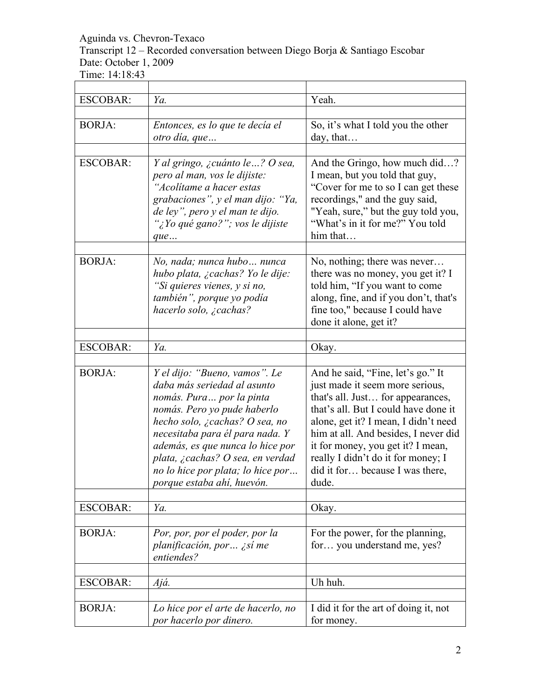Transcript 12 – Recorded conversation between Diego Borja & Santiago Escobar Date: October 1, 2009

| <b>ESCOBAR:</b> | Ya.                                                                                                                                                                                                                                                                                                                                      | Yeah.                                                                                                                                                                                                                                                                                                                                                    |
|-----------------|------------------------------------------------------------------------------------------------------------------------------------------------------------------------------------------------------------------------------------------------------------------------------------------------------------------------------------------|----------------------------------------------------------------------------------------------------------------------------------------------------------------------------------------------------------------------------------------------------------------------------------------------------------------------------------------------------------|
| <b>BORJA:</b>   | Entonces, es lo que te decía el<br>otro día, que                                                                                                                                                                                                                                                                                         | So, it's what I told you the other<br>day, that                                                                                                                                                                                                                                                                                                          |
| <b>ESCOBAR:</b> | Y al gringo, ¿cuánto le ? O sea,<br>pero al man, vos le dijiste:<br>"Acolitame a hacer estas<br>grabaciones", y el man dijo: "Ya,<br>de ley", pero y el man te dijo.<br>'¿Yo qué gano?''; vos le dijiste<br>que                                                                                                                          | And the Gringo, how much did?<br>I mean, but you told that guy,<br>"Cover for me to so I can get these<br>recordings," and the guy said,<br>"Yeah, sure," but the guy told you,<br>"What's in it for me?" You told<br>him that                                                                                                                           |
| <b>BORJA:</b>   | No, nada; nunca hubo  nunca<br>hubo plata, ¿cachas? Yo le dije:<br>"Si quieres vienes, y si no,<br>también", porque yo podía<br>hacerlo solo, ¿cachas?                                                                                                                                                                                   | No, nothing; there was never<br>there was no money, you get it? I<br>told him, "If you want to come<br>along, fine, and if you don't, that's<br>fine too," because I could have<br>done it alone, get it?                                                                                                                                                |
| <b>ESCOBAR:</b> | Ya.                                                                                                                                                                                                                                                                                                                                      | Okay.                                                                                                                                                                                                                                                                                                                                                    |
| <b>BORJA:</b>   | Y el dijo: "Bueno, vamos". Le<br>daba más seriedad al asunto<br>nomás. Pura  por la pinta<br>nomás. Pero yo pude haberlo<br>hecho solo, ¿cachas? O sea, no<br>necesitaba para él para nada. Y<br>además, es que nunca lo hice por<br>plata, ¿cachas? O sea, en verdad<br>no lo hice por plata; lo hice por<br>porque estaba ahí, huevón. | And he said, "Fine, let's go." It<br>just made it seem more serious,<br>that's all. Just for appearances,<br>that's all. But I could have done it<br>alone, get it? I mean, I didn't need<br>him at all. And besides, I never did<br>it for money, you get it? I mean,<br>really I didn't do it for money; I<br>did it for because I was there,<br>dude. |
| ESCOBAR:        | Ya.                                                                                                                                                                                                                                                                                                                                      | Okay.                                                                                                                                                                                                                                                                                                                                                    |
| <b>BORJA:</b>   | Por, por, por el poder, por la<br>planificación, por  ¿sí me<br>entiendes?                                                                                                                                                                                                                                                               | For the power, for the planning,<br>for you understand me, yes?                                                                                                                                                                                                                                                                                          |
| <b>ESCOBAR:</b> | Ajá.                                                                                                                                                                                                                                                                                                                                     | Uh huh.                                                                                                                                                                                                                                                                                                                                                  |
| <b>BORJA:</b>   | Lo hice por el arte de hacerlo, no<br>por hacerlo por dinero.                                                                                                                                                                                                                                                                            | I did it for the art of doing it, not<br>for money.                                                                                                                                                                                                                                                                                                      |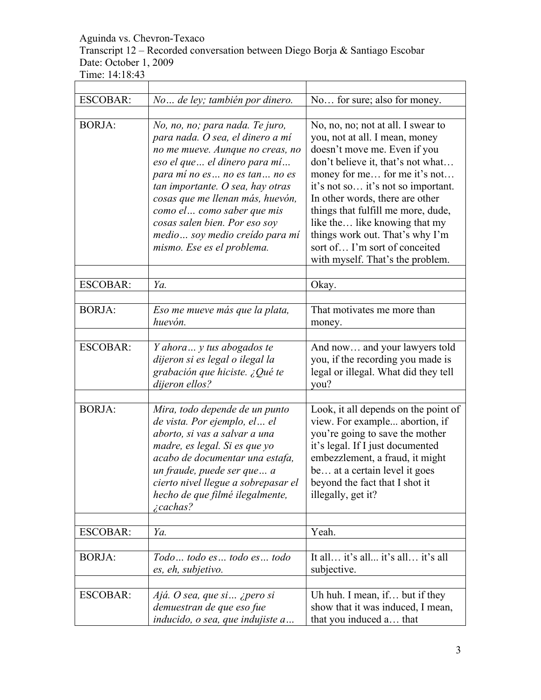# Transcript 12 – Recorded conversation between Diego Borja & Santiago Escobar Date: October 1, 2009

Time: 14:18:43

| <b>ESCOBAR:</b> | No de ley; también por dinero.                                                                                                                                                                                                                                                                                                                                                     | No for sure; also for money.                                                                                                                                                                                                                                                                                                                                                                                                      |
|-----------------|------------------------------------------------------------------------------------------------------------------------------------------------------------------------------------------------------------------------------------------------------------------------------------------------------------------------------------------------------------------------------------|-----------------------------------------------------------------------------------------------------------------------------------------------------------------------------------------------------------------------------------------------------------------------------------------------------------------------------------------------------------------------------------------------------------------------------------|
| <b>BORJA:</b>   | No, no, no; para nada. Te juro,<br>para nada. O sea, el dinero a mí<br>no me mueve. Aunque no creas, no<br>eso el que  el dinero para mí<br>para mí no es no es tan no es<br>tan importante. O sea, hay otras<br>cosas que me llenan más, huevón,<br>como el  como saber que mis<br>cosas salen bien. Por eso soy<br>medio  soy medio creído para mí<br>mismo. Ese es el problema. | No, no, no; not at all. I swear to<br>you, not at all. I mean, money<br>doesn't move me. Even if you<br>don't believe it, that's not what<br>money for me for me it's not<br>it's not so it's not so important.<br>In other words, there are other<br>things that fulfill me more, dude,<br>like the like knowing that my<br>things work out. That's why I'm<br>sort of I'm sort of conceited<br>with myself. That's the problem. |
| <b>ESCOBAR:</b> | Ya.                                                                                                                                                                                                                                                                                                                                                                                | Okay.                                                                                                                                                                                                                                                                                                                                                                                                                             |
| <b>BORJA:</b>   | Eso me mueve más que la plata,<br>huevón.                                                                                                                                                                                                                                                                                                                                          | That motivates me more than<br>money.                                                                                                                                                                                                                                                                                                                                                                                             |
| <b>ESCOBAR:</b> | Y ahora  y tus abogados te<br>dijeron si es legal o ilegal la<br>grabación que hiciste. ¿Qué te<br>dijeron ellos?                                                                                                                                                                                                                                                                  | And now and your lawyers told<br>you, if the recording you made is<br>legal or illegal. What did they tell<br>you?                                                                                                                                                                                                                                                                                                                |
| <b>BORJA:</b>   | Mira, todo depende de un punto<br>de vista. Por ejemplo, el  el<br>aborto, si vas a salvar a una<br>madre, es legal. Si es que yo<br>acabo de documentar una estafa,<br>un fraude, puede ser que a<br>cierto nivel llegue a sobrepasar el<br>hecho de que filmé ilegalmente,<br><i>i</i> cachas?                                                                                   | Look, it all depends on the point of<br>view. For example abortion, if<br>you're going to save the mother<br>it's legal. If I just documented<br>embezzlement, a fraud, it might<br>be at a certain level it goes<br>beyond the fact that I shot it<br>illegally, get it?                                                                                                                                                         |
| <b>ESCOBAR:</b> | Ya.                                                                                                                                                                                                                                                                                                                                                                                | Yeah.                                                                                                                                                                                                                                                                                                                                                                                                                             |
| <b>BORJA:</b>   | Todo  todo es  todo es  todo<br>es, eh, subjetivo.                                                                                                                                                                                                                                                                                                                                 | It all it's all it's all it's all<br>subjective.                                                                                                                                                                                                                                                                                                                                                                                  |
| <b>ESCOBAR:</b> | Ajá. O sea, que si  ¿pero si<br>demuestran de que eso fue<br>inducido, o sea, que indujiste a                                                                                                                                                                                                                                                                                      | Uh huh. I mean, if but if they<br>show that it was induced, I mean,<br>that you induced a that                                                                                                                                                                                                                                                                                                                                    |

 $\overline{\phantom{a}}$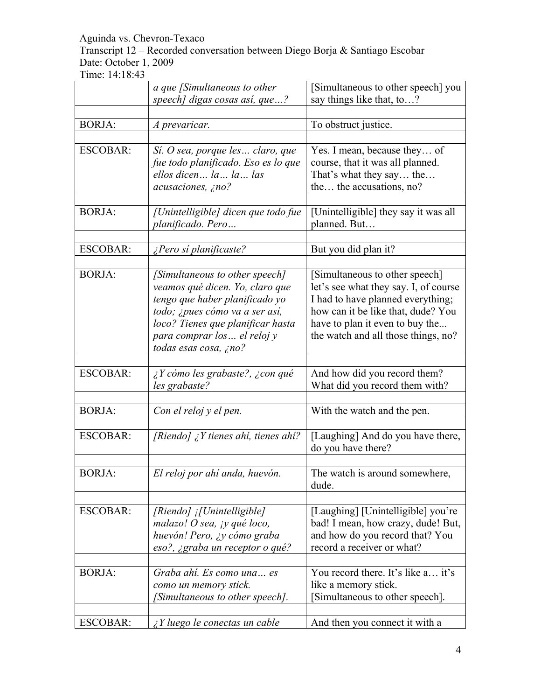Transcript 12 – Recorded conversation between Diego Borja & Santiago Escobar Date: October 1, 2009

|                 | a que [Simultaneous to other<br>speech] digas cosas así, que?                                                                                                                                                                       | [Simultaneous to other speech] you<br>say things like that, to?                                                                                                                                                              |
|-----------------|-------------------------------------------------------------------------------------------------------------------------------------------------------------------------------------------------------------------------------------|------------------------------------------------------------------------------------------------------------------------------------------------------------------------------------------------------------------------------|
|                 |                                                                                                                                                                                                                                     |                                                                                                                                                                                                                              |
| <b>BORJA:</b>   | A prevaricar.                                                                                                                                                                                                                       | To obstruct justice.                                                                                                                                                                                                         |
| <b>ESCOBAR:</b> | Sí. O sea, porque les  claro, que<br>fue todo planificado. Eso es lo que<br>ellos dicen la la las<br>acusaciones, ¿no?                                                                                                              | Yes. I mean, because they of<br>course, that it was all planned.<br>That's what they say the<br>the the accusations, no?                                                                                                     |
| <b>BORJA:</b>   | [Unintelligible] dicen que todo fue<br>planificado. Pero                                                                                                                                                                            | [Unintelligible] they say it was all<br>planned. But                                                                                                                                                                         |
| <b>ESCOBAR:</b> | ¿Pero sí planificaste?                                                                                                                                                                                                              | But you did plan it?                                                                                                                                                                                                         |
| <b>BORJA:</b>   | [Simultaneous to other speech]<br>veamos qué dicen. Yo, claro que<br>tengo que haber planificado yo<br>todo; ¿pues cómo va a ser así,<br>loco? Tienes que planificar hasta<br>para comprar los  el reloj y<br>todas esas cosa, ¿no? | [Simultaneous to other speech]<br>let's see what they say. I, of course<br>I had to have planned everything;<br>how can it be like that, dude? You<br>have to plan it even to buy the<br>the watch and all those things, no? |
| <b>ESCOBAR:</b> | ¿Y cómo les grabaste?, ¿con qué<br>les grabaste?                                                                                                                                                                                    | And how did you record them?<br>What did you record them with?                                                                                                                                                               |
| <b>BORJA:</b>   | Con el reloj y el pen.                                                                                                                                                                                                              | With the watch and the pen.                                                                                                                                                                                                  |
| <b>ESCOBAR:</b> | [Riendo] $\chi$ <i>Y</i> tienes ahi, tienes ahi?                                                                                                                                                                                    | [Laughing] And do you have there,<br>do you have there?                                                                                                                                                                      |
| <b>BORJA:</b>   | El reloj por ahí anda, huevón.                                                                                                                                                                                                      | The watch is around somewhere,<br>dude.                                                                                                                                                                                      |
| <b>ESCOBAR:</b> | [Riendo] [[Unintelligible]<br>malazo! O sea, jy qué loco,<br>huevón! Pero, ¿y cómo graba<br>eso?, ¿graba un receptor o qué?                                                                                                         | [Laughing] [Unintelligible] you're<br>bad! I mean, how crazy, dude! But,<br>and how do you record that? You<br>record a receiver or what?                                                                                    |
| <b>BORJA:</b>   | Graba ahí. Es como una es<br>como un memory stick.<br>[Simultaneous to other speech].                                                                                                                                               | You record there. It's like a it's<br>like a memory stick.<br>Simultaneous to other speech].                                                                                                                                 |
| <b>ESCOBAR:</b> | $\chi$ Y luego le conectas un cable                                                                                                                                                                                                 | And then you connect it with a                                                                                                                                                                                               |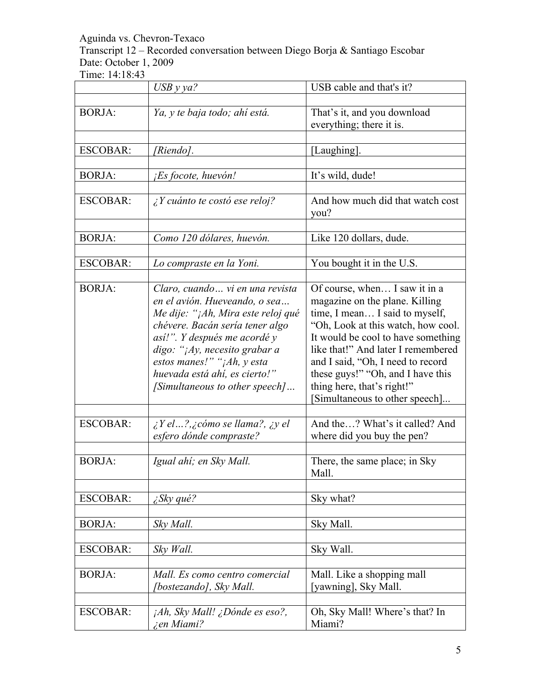Transcript 12 – Recorded conversation between Diego Borja & Santiago Escobar Date: October 1, 2009

|                 | $USB$ y ya?                                                                                                                                                                                                                                                                                                  | USB cable and that's it?                                                                                                                                                                                                                                                                                                                                     |
|-----------------|--------------------------------------------------------------------------------------------------------------------------------------------------------------------------------------------------------------------------------------------------------------------------------------------------------------|--------------------------------------------------------------------------------------------------------------------------------------------------------------------------------------------------------------------------------------------------------------------------------------------------------------------------------------------------------------|
| <b>BORJA:</b>   | Ya, y te baja todo; ahí está.                                                                                                                                                                                                                                                                                | That's it, and you download<br>everything; there it is.                                                                                                                                                                                                                                                                                                      |
| <b>ESCOBAR:</b> | [Riendo].                                                                                                                                                                                                                                                                                                    | [Laughing].                                                                                                                                                                                                                                                                                                                                                  |
| <b>BORJA:</b>   | <i>Es focote, huevón!</i>                                                                                                                                                                                                                                                                                    | It's wild, dude!                                                                                                                                                                                                                                                                                                                                             |
| <b>ESCOBAR:</b> | $\lambda$ Y cuánto te costó ese reloj?                                                                                                                                                                                                                                                                       | And how much did that watch cost<br>you?                                                                                                                                                                                                                                                                                                                     |
| <b>BORJA:</b>   | Como 120 dólares, huevón.                                                                                                                                                                                                                                                                                    | Like 120 dollars, dude.                                                                                                                                                                                                                                                                                                                                      |
| <b>ESCOBAR:</b> | Lo compraste en la Yoni.                                                                                                                                                                                                                                                                                     | You bought it in the U.S.                                                                                                                                                                                                                                                                                                                                    |
| <b>BORJA:</b>   | Claro, cuando  vi en una revista<br>en el avión. Hueveando, o sea<br>Me dije: "¡Ah, Mira este reloj qué<br>chévere. Bacán sería tener algo<br>así!". Y después me acordé y<br>digo: "¡Ay, necesito grabar a<br>estos manes!" "¡Ah, y esta<br>huevada está ahí, es cierto!"<br>[Simultaneous to other speech] | Of course, when I saw it in a<br>magazine on the plane. Killing<br>time, I mean I said to myself,<br>"Oh, Look at this watch, how cool.<br>It would be cool to have something<br>like that!" And later I remembered<br>and I said, "Oh, I need to record<br>these guys!" "Oh, and I have this<br>thing here, that's right!"<br>Simultaneous to other speech] |
| <b>ESCOBAR:</b> | $i$ Y el?, $i$ cómo se llama?, $i$ y el<br>esfero dónde compraste?                                                                                                                                                                                                                                           | And the? What's it called? And<br>where did you buy the pen?                                                                                                                                                                                                                                                                                                 |
| <b>BORJA:</b>   | Igual ahí; en Sky Mall.                                                                                                                                                                                                                                                                                      | There, the same place; in Sky<br>Mall.                                                                                                                                                                                                                                                                                                                       |
| <b>ESCOBAR:</b> | $\angle$ Sky qué?                                                                                                                                                                                                                                                                                            | Sky what?                                                                                                                                                                                                                                                                                                                                                    |
| <b>BORJA:</b>   | Sky Mall.                                                                                                                                                                                                                                                                                                    | Sky Mall.                                                                                                                                                                                                                                                                                                                                                    |
| <b>ESCOBAR:</b> | Sky Wall.                                                                                                                                                                                                                                                                                                    | Sky Wall.                                                                                                                                                                                                                                                                                                                                                    |
| <b>BORJA:</b>   | Mall. Es como centro comercial<br>[bostezando], Sky Mall.                                                                                                                                                                                                                                                    | Mall. Like a shopping mall<br>[yawning], Sky Mall.                                                                                                                                                                                                                                                                                                           |
| <b>ESCOBAR:</b> | $iAh$ , Sky Mall! <i>iDonde es eso?</i> ,<br><i>i</i> en Miami?                                                                                                                                                                                                                                              | Oh, Sky Mall! Where's that? In<br>Miami?                                                                                                                                                                                                                                                                                                                     |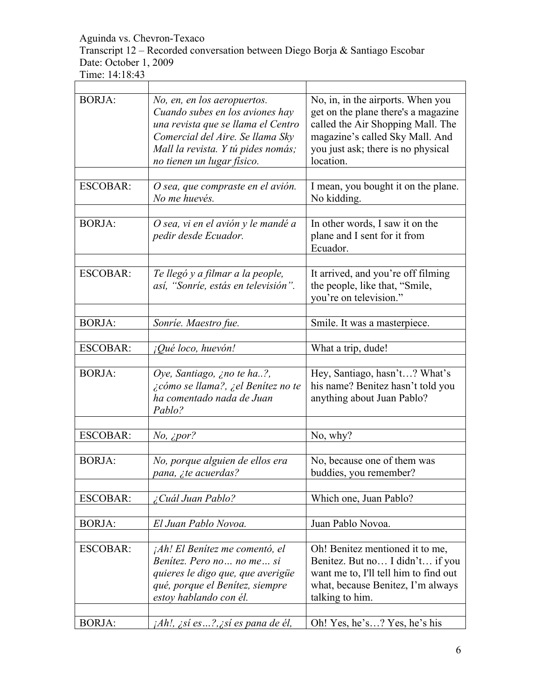Transcript 12 – Recorded conversation between Diego Borja & Santiago Escobar Date: October 1, 2009

| <b>BORJA:</b>   | No, en, en los aeropuertos.<br>Cuando subes en los aviones hay<br>una revista que se llama el Centro<br>Comercial del Aire. Se llama Sky<br>Mall la revista. Y tú pides nomás;<br>no tienen un lugar físico. | No, in, in the airports. When you<br>get on the plane there's a magazine<br>called the Air Shopping Mall. The<br>magazine's called Sky Mall. And<br>you just ask; there is no physical<br>location. |
|-----------------|--------------------------------------------------------------------------------------------------------------------------------------------------------------------------------------------------------------|-----------------------------------------------------------------------------------------------------------------------------------------------------------------------------------------------------|
| <b>ESCOBAR:</b> | O sea, que compraste en el avión.<br>No me huevés.                                                                                                                                                           | I mean, you bought it on the plane.<br>No kidding.                                                                                                                                                  |
| <b>BORJA:</b>   | O sea, vi en el avión y le mandé a<br>pedir desde Ecuador.                                                                                                                                                   | In other words, I saw it on the<br>plane and I sent for it from<br>Ecuador.                                                                                                                         |
| <b>ESCOBAR:</b> | Te llegó y a filmar a la people,<br>así, "Sonríe, estás en televisión".                                                                                                                                      | It arrived, and you're off filming<br>the people, like that, "Smile,<br>you're on television."                                                                                                      |
| <b>BORJA:</b>   | Sonrie. Maestro fue.                                                                                                                                                                                         | Smile. It was a masterpiece.                                                                                                                                                                        |
| <b>ESCOBAR:</b> | ¡Qué loco, huevón!                                                                                                                                                                                           | What a trip, dude!                                                                                                                                                                                  |
| <b>BORJA:</b>   | Oye, Santiago, ¿no te ha?,<br>¿cómo se llama?, ¿el Benítez no te<br>ha comentado nada de Juan<br>Pablo?                                                                                                      | Hey, Santiago, hasn't? What's<br>his name? Benitez hasn't told you<br>anything about Juan Pablo?                                                                                                    |
| <b>ESCOBAR:</b> | $No$ , ¿por?                                                                                                                                                                                                 | No, why?                                                                                                                                                                                            |
|                 |                                                                                                                                                                                                              |                                                                                                                                                                                                     |
| <b>BORJA:</b>   | No, porque alguien de ellos era<br>pana, ite acuerdas?                                                                                                                                                       | No, because one of them was<br>buddies, you remember?                                                                                                                                               |
| <b>ESCOBAR:</b> | ¿Cuál Juan Pablo?                                                                                                                                                                                            | Which one, Juan Pablo?                                                                                                                                                                              |
| <b>BORJA:</b>   | El Juan Pablo Novoa.                                                                                                                                                                                         | Juan Pablo Novoa.                                                                                                                                                                                   |
| <b>ESCOBAR:</b> | <i>Ah! El Benítez me comentó, el</i><br>Benitez. Pero no no me si<br>quieres le digo que, que averigüe<br>qué, porque el Benítez, siempre<br>estoy hablando con él.                                          | Oh! Benitez mentioned it to me,<br>Benitez. But no I didn't if you<br>want me to, I'll tell him to find out<br>what, because Benitez, I'm always<br>talking to him.                                 |
| <b>BORJA:</b>   | <i>jAh!, ¿sí es?,¿sí es pana de él,</i>                                                                                                                                                                      | Oh! Yes, he's? Yes, he's his                                                                                                                                                                        |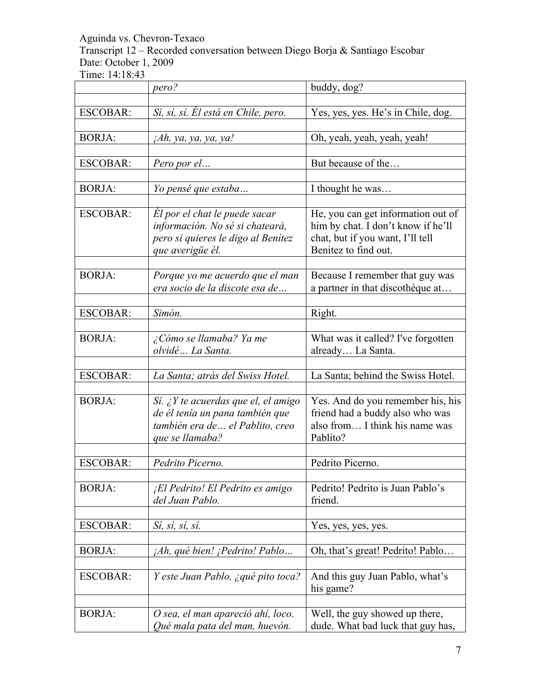Transcript 12 – Recorded conversation between Diego Borja & Santiago Escobar Date: October 1, 2009

|                 | pero?                                | buddy, dog?                        |
|-----------------|--------------------------------------|------------------------------------|
|                 |                                      |                                    |
| <b>ESCOBAR:</b> | Sí, sí, sí. El está en Chile, pero.  | Yes, yes, yes. He's in Chile, dog. |
|                 |                                      |                                    |
| <b>BORJA:</b>   | jAh, ya, ya, ya, ya!                 | Oh, yeah, yeah, yeah, yeah!        |
|                 |                                      |                                    |
| <b>ESCOBAR:</b> | Pero por el                          | But because of the                 |
| <b>BORJA:</b>   | Yo pensé que estaba                  | I thought he was                   |
|                 |                                      |                                    |
| <b>ESCOBAR:</b> | El por el chat le puede sacar        | He, you can get information out of |
|                 | información. No sé si chateará,      | him by chat. I don't know if he'll |
|                 | pero si quieres le digo al Benítez   | chat, but if you want, I'll tell   |
|                 | que averigüe él.                     | Benitez to find out.               |
|                 |                                      |                                    |
| <b>BORJA:</b>   | Porque yo me acuerdo que el man      | Because I remember that guy was    |
|                 | era socio de la discote esa de       | a partner in that discothèque at   |
|                 |                                      |                                    |
| <b>ESCOBAR:</b> | Simón.                               | Right.                             |
|                 |                                      |                                    |
| <b>BORJA:</b>   | ¿Cómo se llamaba? Ya me              | What was it called? I've forgotten |
|                 | olvidé La Santa.                     | already La Santa.                  |
|                 |                                      |                                    |
| <b>ESCOBAR:</b> | La Santa; atrás del Swiss Hotel.     | La Santa; behind the Swiss Hotel.  |
|                 |                                      |                                    |
| <b>BORJA:</b>   | Sí. ¿Y te acuerdas que el, el amigo  | Yes. And do you remember his, his  |
|                 | de él tenía un pana también que      | friend had a buddy also who was    |
|                 | también era de  el Pablito, creo     | also from I think his name was     |
|                 | que se llamaba?                      | Pablito?                           |
|                 |                                      |                                    |
| <b>ESCOBAR:</b> | Pedrito Picerno.                     | Pedrito Picerno.                   |
|                 |                                      |                                    |
| <b>BORJA:</b>   | ¡El Pedrito! El Pedrito es amigo     | Pedrito! Pedrito is Juan Pablo's   |
|                 | del Juan Pablo.                      | friend.                            |
|                 |                                      |                                    |
| <b>ESCOBAR:</b> | Sí, sí, sí, sí.                      | Yes, yes, yes, yes.                |
|                 |                                      |                                    |
| <b>BORJA:</b>   | <i>Ah, qué bien! ¡Pedrito! Pablo</i> | Oh, that's great! Pedrito! Pablo   |
|                 |                                      |                                    |
| <b>ESCOBAR:</b> | Y este Juan Pablo, ¿qué pito toca?   | And this guy Juan Pablo, what's    |
|                 |                                      | his game?                          |
| <b>BORJA:</b>   | O sea, el man apareció ahí, loco.    | Well, the guy showed up there,     |
|                 | Qué mala pata del man, huevón.       | dude. What bad luck that guy has,  |
|                 |                                      |                                    |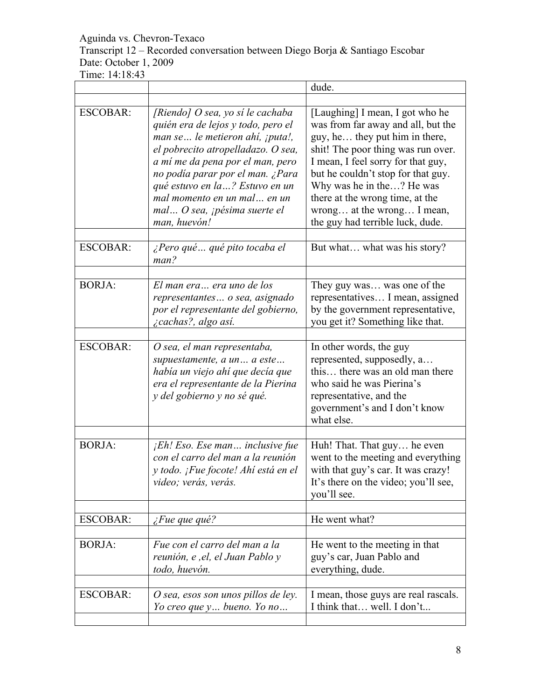Transcript 12 – Recorded conversation between Diego Borja & Santiago Escobar Date: October 1, 2009

|                 |                                                                                                                                                                                                                                                                                                                                                   | dude.                                                                                                                                                                                                                                                                                                                                                       |
|-----------------|---------------------------------------------------------------------------------------------------------------------------------------------------------------------------------------------------------------------------------------------------------------------------------------------------------------------------------------------------|-------------------------------------------------------------------------------------------------------------------------------------------------------------------------------------------------------------------------------------------------------------------------------------------------------------------------------------------------------------|
|                 |                                                                                                                                                                                                                                                                                                                                                   |                                                                                                                                                                                                                                                                                                                                                             |
| <b>ESCOBAR:</b> | [Riendo] O sea, yo sí le cachaba<br>quién era de lejos y todo, pero el<br>man se le metieron ahí, ¡puta!,<br>el pobrecito atropelladazo. O sea,<br>a mí me da pena por el man, pero<br>no podía parar por el man. ¿Para<br>qué estuvo en la ? Estuvo en un<br>mal momento en un mal en un<br>mal O sea, <i>i</i> pésima suerte el<br>man, huevón! | [Laughing] I mean, I got who he<br>was from far away and all, but the<br>guy, he they put him in there,<br>shit! The poor thing was run over.<br>I mean, I feel sorry for that guy,<br>but he couldn't stop for that guy.<br>Why was he in the? He was<br>there at the wrong time, at the<br>wrong at the wrong I mean,<br>the guy had terrible luck, dude. |
| <b>ESCOBAR:</b> | ¿Pero qué  qué pito tocaba el<br>man?                                                                                                                                                                                                                                                                                                             | But what what was his story?                                                                                                                                                                                                                                                                                                                                |
| <b>BORJA:</b>   | El man era era uno de los<br>representantes o sea, asignado<br>por el representante del gobierno,<br><i>i</i> cachas?, algo así.                                                                                                                                                                                                                  | They guy was was one of the<br>representatives I mean, assigned<br>by the government representative,<br>you get it? Something like that.                                                                                                                                                                                                                    |
| <b>ESCOBAR:</b> | O sea, el man representaba,<br>supuestamente, a un  a este<br>había un viejo ahí que decía que<br>era el representante de la Pierina<br>y del gobierno y no sé qué.                                                                                                                                                                               | In other words, the guy<br>represented, supposedly, a<br>this there was an old man there<br>who said he was Pierina's<br>representative, and the<br>government's and I don't know<br>what else.                                                                                                                                                             |
| <b>BORJA:</b>   | $jEh! Eso. Ese man$ inclusive fue<br>con el carro del man a la reunión<br>y todo. ¡Fue focote! Ahí está en el<br>video; verás, verás.                                                                                                                                                                                                             | Huh! That. That guy he even<br>went to the meeting and everything<br>with that guy's car. It was crazy!<br>It's there on the video; you'll see,<br>you'll see.                                                                                                                                                                                              |
| <b>ESCOBAR:</b> | $\zeta$ Fue que qué?                                                                                                                                                                                                                                                                                                                              | He went what?                                                                                                                                                                                                                                                                                                                                               |
| <b>BORJA:</b>   | Fue con el carro del man a la<br>reunión, e , el, el Juan Pablo y<br>todo, huevón.                                                                                                                                                                                                                                                                | He went to the meeting in that<br>guy's car, Juan Pablo and<br>everything, dude.                                                                                                                                                                                                                                                                            |
| <b>ESCOBAR:</b> | O sea, esos son unos pillos de ley.<br>Yo creo que $y$ bueno. Yo no                                                                                                                                                                                                                                                                               | I mean, those guys are real rascals.<br>I think that well. I don't                                                                                                                                                                                                                                                                                          |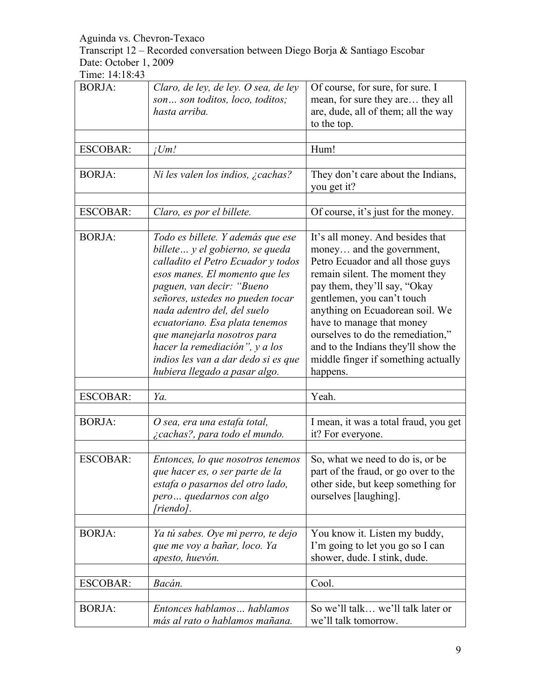Transcript 12 – Recorded conversation between Diego Borja & Santiago Escobar Date: October 1, 2009

| <b>BORJA:</b>   | Claro, de ley, de ley. O sea, de ley<br>son son toditos, loco, toditos;<br>hasta arriba.                                                                                                                                                                                                                                                                                                                                 | Of course, for sure, for sure. I<br>mean, for sure they are they all<br>are, dude, all of them; all the way<br>to the top.                                                                                                                                                                                                                                                                       |
|-----------------|--------------------------------------------------------------------------------------------------------------------------------------------------------------------------------------------------------------------------------------------------------------------------------------------------------------------------------------------------------------------------------------------------------------------------|--------------------------------------------------------------------------------------------------------------------------------------------------------------------------------------------------------------------------------------------------------------------------------------------------------------------------------------------------------------------------------------------------|
| <b>ESCOBAR:</b> | iUm!                                                                                                                                                                                                                                                                                                                                                                                                                     | Hum!                                                                                                                                                                                                                                                                                                                                                                                             |
| <b>BORJA:</b>   | Ni les valen los indios, ¿cachas?                                                                                                                                                                                                                                                                                                                                                                                        | They don't care about the Indians,<br>you get it?                                                                                                                                                                                                                                                                                                                                                |
| <b>ESCOBAR:</b> | Claro, es por el billete.                                                                                                                                                                                                                                                                                                                                                                                                | Of course, it's just for the money.                                                                                                                                                                                                                                                                                                                                                              |
| <b>BORJA:</b>   | Todo es billete. Y además que ese<br>billete  y el gobierno, se queda<br>calladito el Petro Ecuador y todos<br>esos manes. El momento que les<br>paguen, van decir: "Bueno<br>señores, ustedes no pueden tocar<br>nada adentro del, del suelo<br>ecuatoriano. Esa plata tenemos<br>que manejarla nosotros para<br>hacer la remediación", y a los<br>indios les van a dar dedo si es que<br>hubiera llegado a pasar algo. | It's all money. And besides that<br>money and the government,<br>Petro Ecuador and all those guys<br>remain silent. The moment they<br>pay them, they'll say, "Okay<br>gentlemen, you can't touch<br>anything on Ecuadorean soil. We<br>have to manage that money<br>ourselves to do the remediation,"<br>and to the Indians they'll show the<br>middle finger if something actually<br>happens. |
| <b>ESCOBAR:</b> | Ya.                                                                                                                                                                                                                                                                                                                                                                                                                      | Yeah.                                                                                                                                                                                                                                                                                                                                                                                            |
| <b>BORJA:</b>   | O sea, era una estafa total,<br>¿cachas?, para todo el mundo.                                                                                                                                                                                                                                                                                                                                                            | I mean, it was a total fraud, you get<br>it? For everyone.                                                                                                                                                                                                                                                                                                                                       |
| <b>ESCOBAR:</b> | Entonces, lo que nosotros tenemos<br>que hacer es, o ser parte de la<br>estafa o pasarnos del otro lado,<br>pero quedarnos con algo<br>[riendo].                                                                                                                                                                                                                                                                         | So, what we need to do is, or be<br>part of the fraud, or go over to the<br>other side, but keep something for<br>ourselves [laughing].                                                                                                                                                                                                                                                          |
| <b>BORJA:</b>   | Ya tú sabes. Oye mi perro, te dejo<br>que me voy a bañar, loco. Ya<br>apesto, huevón.                                                                                                                                                                                                                                                                                                                                    | You know it. Listen my buddy,<br>I'm going to let you go so I can<br>shower, dude. I stink, dude.                                                                                                                                                                                                                                                                                                |
| <b>ESCOBAR:</b> | Bacán.                                                                                                                                                                                                                                                                                                                                                                                                                   | Cool.                                                                                                                                                                                                                                                                                                                                                                                            |
| <b>BORJA:</b>   | Entonces hablamos hablamos<br>más al rato o hablamos mañana.                                                                                                                                                                                                                                                                                                                                                             | So we'll talk we'll talk later or<br>we'll talk tomorrow.                                                                                                                                                                                                                                                                                                                                        |